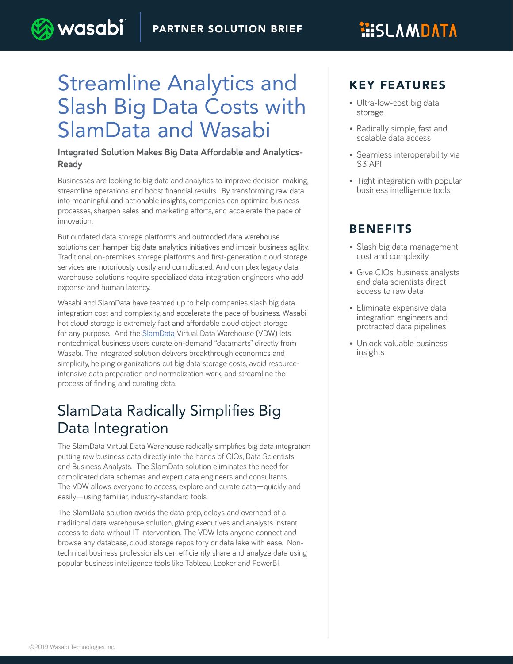# **HISLAMDATA**

# Streamline Analytics and Slash Big Data Costs with SlamData and Wasabi

wasabi

#### **Integrated Solution Makes Big Data Affordable and Analytics-Ready**

Businesses are looking to big data and analytics to improve decision-making, streamline operations and boost financial results. By transforming raw data into meaningful and actionable insights, companies can optimize business processes, sharpen sales and marketing efforts, and accelerate the pace of innovation.

But outdated data storage platforms and outmoded data warehouse solutions can hamper big data analytics initiatives and impair business agility. Traditional on-premises storage platforms and first-generation cloud storage services are notoriously costly and complicated. And complex legacy data warehouse solutions require specialized data integration engineers who add expense and human latency.

Wasabi and SlamData have teamed up to help companies slash big data integration cost and complexity, and accelerate the pace of business. Wasabi hot cloud storage is extremely fast and affordable cloud object storage for any purpose. And the [SlamData](https://slamdata.com/) Virtual Data Warehouse (VDW) lets nontechnical business users curate on-demand "datamarts" directly from Wasabi. The integrated solution delivers breakthrough economics and simplicity, helping organizations cut big data storage costs, avoid resourceintensive data preparation and normalization work, and streamline the process of finding and curating data.

## SlamData Radically Simplifies Big Data Integration

The SlamData Virtual Data Warehouse radically simplifies big data integration putting raw business data directly into the hands of CIOs, Data Scientists and Business Analysts. The SlamData solution eliminates the need for complicated data schemas and expert data engineers and consultants. The VDW allows everyone to access, explore and curate data—quickly and easily—using familiar, industry-standard tools.

The SlamData solution avoids the data prep, delays and overhead of a traditional data warehouse solution, giving executives and analysts instant access to data without IT intervention. The VDW lets anyone connect and browse any database, cloud storage repository or data lake with ease. Nontechnical business professionals can efficiently share and analyze data using popular business intelligence tools like Tableau, Looker and PowerBI.

### KEY FEATURES

- Ultra-low-cost big data storage
- Radically simple, fast and scalable data access
- Seamless interoperability via S3 API
- Tight integration with popular business intelligence tools

### BENEFITS

- Slash big data management cost and complexity
- Give CIOs, business analysts and data scientists direct access to raw data
- Eliminate expensive data integration engineers and protracted data pipelines
- Unlock valuable business insights